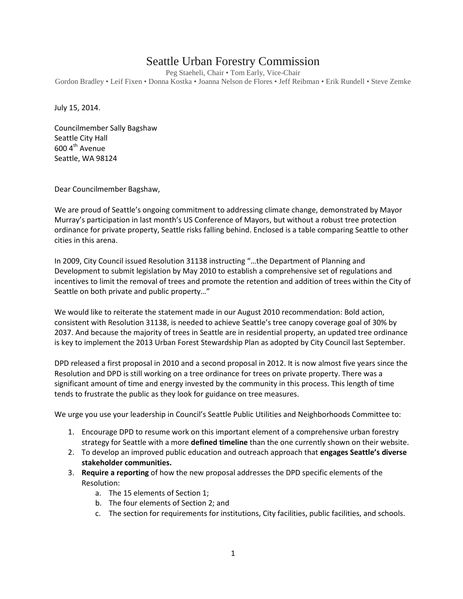## Seattle Urban Forestry Commission

Peg Staeheli, Chair • Tom Early, Vice-Chair Gordon Bradley • Leif Fixen • Donna Kostka • Joanna Nelson de Flores • Jeff Reibman • Erik Rundell • Steve Zemke

July 15, 2014.

Councilmember Sally Bagshaw Seattle City Hall  $600$  4<sup>th</sup> Avenue Seattle, WA 98124

Dear Councilmember Bagshaw,

We are proud of Seattle's ongoing commitment to addressing climate change, demonstrated by Mayor Murray's participation in last month's US Conference of Mayors, but without a robust tree protection ordinance for private property, Seattle risks falling behind. Enclosed is a table comparing Seattle to other cities in this arena.

In 2009, City Council issued Resolution 31138 instructing "…the Department of Planning and Development to submit legislation by May 2010 to establish a comprehensive set of regulations and incentives to limit the removal of trees and promote the retention and addition of trees within the City of Seattle on both private and public property…"

We would like to reiterate the statement made in our August 2010 recommendation: Bold action, consistent with Resolution 31138, is needed to achieve Seattle's tree canopy coverage goal of 30% by 2037. And because the majority of trees in Seattle are in residential property, an updated tree ordinance is key to implement the 2013 Urban Forest Stewardship Plan as adopted by City Council last September.

DPD released a first proposal in 2010 and a second proposal in 2012. It is now almost five years since the Resolution and DPD is still working on a tree ordinance for trees on private property. There was a significant amount of time and energy invested by the community in this process. This length of time tends to frustrate the public as they look for guidance on tree measures.

We urge you use your leadership in Council's Seattle Public Utilities and Neighborhoods Committee to:

- 1. Encourage DPD to resume work on this important element of a comprehensive urban forestry strategy for Seattle with a more **defined timeline** than the one currently shown on their website.
- 2. To develop an improved public education and outreach approach that **engages Seattle's diverse stakeholder communities.**
- 3. **Require a reporting** of how the new proposal addresses the DPD specific elements of the Resolution:
	- a. The 15 elements of Section 1;
	- b. The four elements of Section 2; and
	- c. The section for requirements for institutions, City facilities, public facilities, and schools.